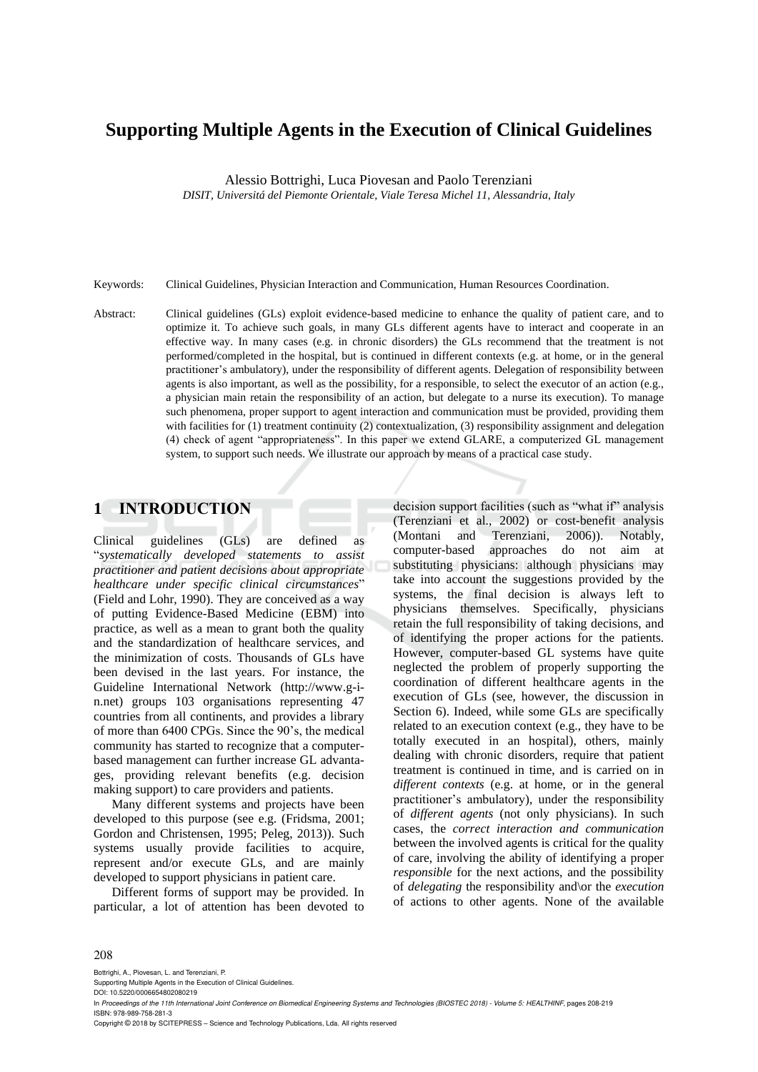# **Supporting Multiple Agents in the Execution of Clinical Guidelines**

Alessio Bottrighi, Luca Piovesan and Paolo Terenziani

*DISIT, Universitá del Piemonte Orientale, Viale Teresa Michel 11, Alessandria, Italy*

Keywords: Clinical Guidelines, Physician Interaction and Communication, Human Resources Coordination.

Abstract: Clinical guidelines (GLs) exploit evidence-based medicine to enhance the quality of patient care, and to optimize it. To achieve such goals, in many GLs different agents have to interact and cooperate in an effective way. In many cases (e.g. in chronic disorders) the GLs recommend that the treatment is not performed/completed in the hospital, but is continued in different contexts (e.g. at home, or in the general practitioner's ambulatory), under the responsibility of different agents. Delegation of responsibility between agents is also important, as well as the possibility, for a responsible, to select the executor of an action (e.g., a physician main retain the responsibility of an action, but delegate to a nurse its execution). To manage such phenomena, proper support to agent interaction and communication must be provided, providing them with facilities for (1) treatment continuity (2) contextualization, (3) responsibility assignment and delegation (4) check of agent "appropriateness". In this paper we extend GLARE, a computerized GL management system, to support such needs. We illustrate our approach by means of a practical case study.

# **1 INTRODUCTION**

Clinical guidelines (GLs) are defined as "*systematically developed statements to assist practitioner and patient decisions about appropriate healthcare under specific clinical circumstances*" (Field and Lohr, 1990). They are conceived as a way of putting Evidence-Based Medicine (EBM) into practice, as well as a mean to grant both the quality and the standardization of healthcare services, and the minimization of costs. Thousands of GLs have been devised in the last years. For instance, the Guideline International Network (http://www.g-in.net) groups 103 organisations representing 47 countries from all continents, and provides a library of more than 6400 CPGs. Since the 90's, the medical community has started to recognize that a computerbased management can further increase GL advantages, providing relevant benefits (e.g. decision making support) to care providers and patients.

Many different systems and projects have been developed to this purpose (see e.g. (Fridsma, 2001; Gordon and Christensen, 1995; Peleg, 2013)). Such systems usually provide facilities to acquire, represent and/or execute GLs, and are mainly developed to support physicians in patient care.

Different forms of support may be provided. In particular, a lot of attention has been devoted to

decision support facilities (such as "what if" analysis (Terenziani et al., 2002) or cost-benefit analysis (Montani and Terenziani, 2006)). Notably, computer-based approaches do not aim at substituting physicians: although physicians may take into account the suggestions provided by the systems, the final decision is always left to physicians themselves. Specifically, physicians retain the full responsibility of taking decisions, and of identifying the proper actions for the patients. However, computer-based GL systems have quite neglected the problem of properly supporting the coordination of different healthcare agents in the execution of GLs (see, however, the discussion in Section 6). Indeed, while some GLs are specifically related to an execution context (e.g., they have to be totally executed in an hospital), others, mainly dealing with chronic disorders, require that patient treatment is continued in time, and is carried on in *different contexts* (e.g. at home, or in the general practitioner's ambulatory), under the responsibility of *different agents* (not only physicians). In such cases, the *correct interaction and communication* between the involved agents is critical for the quality of care, involving the ability of identifying a proper *responsible* for the next actions, and the possibility of *delegating* the responsibility and\or the *execution* of actions to other agents. None of the available

#### 208

Bottrighi, A., Piovesan, L. and Terenziani, P.

Copyright © 2018 by SCITEPRESS – Science and Technology Publications, Lda. All rights reserved

Supporting Multiple Agents in the Execution of Clinical Guidelines. DOI: 10.5220/0006654802080219

In *Proceedings of the 11th International Joint Conference on Biomedical Engineering Systems and Technologies (BIOSTEC 2018) - Volume 5: HEALTHINF*, pages 208-219 ISBN: 978-989-758-281-3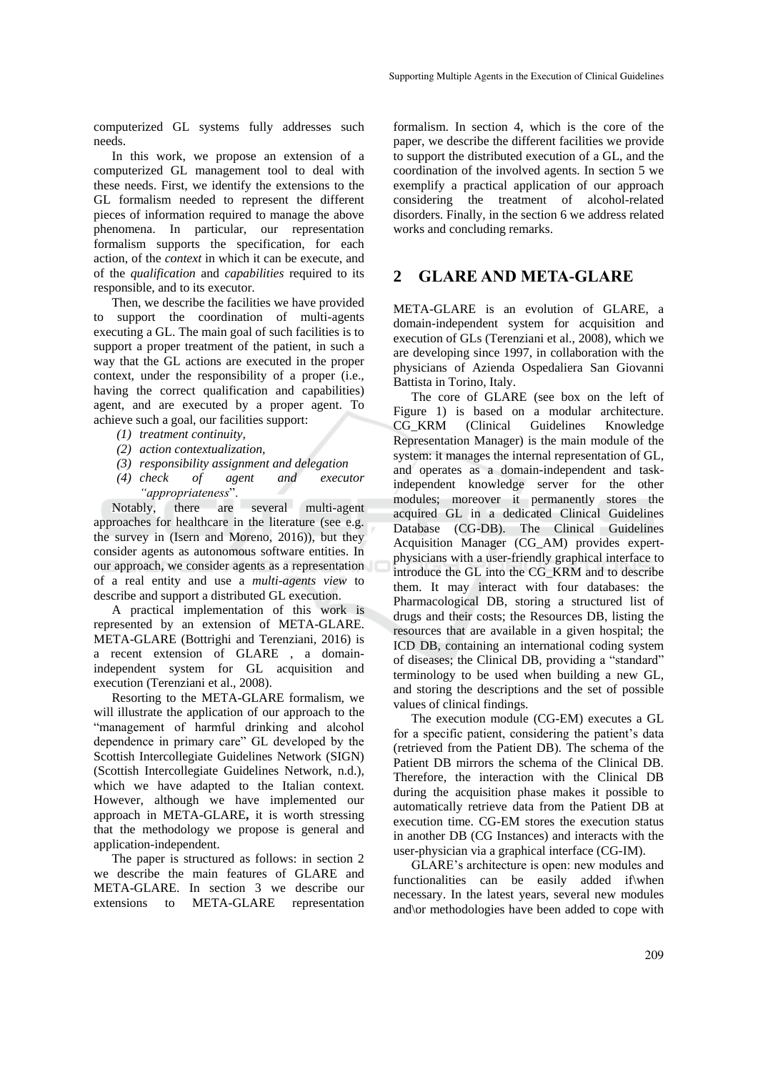computerized GL systems fully addresses such needs.

In this work, we propose an extension of a computerized GL management tool to deal with these needs. First, we identify the extensions to the GL formalism needed to represent the different pieces of information required to manage the above phenomena. In particular, our representation formalism supports the specification, for each action, of the *context* in which it can be execute, and of the *qualification* and *capabilities* required to its responsible, and to its executor.

Then, we describe the facilities we have provided to support the coordination of multi-agents executing a GL. The main goal of such facilities is to support a proper treatment of the patient, in such a way that the GL actions are executed in the proper context, under the responsibility of a proper (i.e., having the correct qualification and capabilities) agent, and are executed by a proper agent. To achieve such a goal, our facilities support:

- *(1) treatment continuity,*
- *(2) action contextualization,*
- *(3) responsibility assignment and delegation*
- *(4) check of agent and executor "appropriateness*".

Notably, there are several multi-agent approaches for healthcare in the literature (see e.g. the survey in (Isern and Moreno, 2016)), but they consider agents as autonomous software entities. In our approach, we consider agents as a representation of a real entity and use a *multi-agents view* to describe and support a distributed GL execution.

A practical implementation of this work is represented by an extension of META-GLARE. META-GLARE (Bottrighi and Terenziani, 2016) is a recent extension of GLARE , a domainindependent system for GL acquisition and execution (Terenziani et al., 2008).

Resorting to the META-GLARE formalism, we will illustrate the application of our approach to the "management of harmful drinking and alcohol dependence in primary care" GL developed by the Scottish Intercollegiate Guidelines Network (SIGN) (Scottish Intercollegiate Guidelines Network, n.d.), which we have adapted to the Italian context. However, although we have implemented our approach in META-GLARE**,** it is worth stressing that the methodology we propose is general and application-independent.

The paper is structured as follows: in section 2 we describe the main features of GLARE and META-GLARE. In section 3 we describe our extensions to META-GLARE representation

formalism. In section 4, which is the core of the paper, we describe the different facilities we provide to support the distributed execution of a GL, and the coordination of the involved agents. In section 5 we exemplify a practical application of our approach considering the treatment of alcohol-related disorders. Finally, in the section 6 we address related works and concluding remarks.

# **2 GLARE AND META-GLARE**

META-GLARE is an evolution of GLARE, a domain-independent system for acquisition and execution of GLs (Terenziani et al., 2008), which we are developing since 1997, in collaboration with the physicians of Azienda Ospedaliera San Giovanni Battista in Torino, Italy.

The core of GLARE (see box on the left of Figure 1) is based on a modular architecture. CG\_KRM (Clinical Guidelines Knowledge Representation Manager) is the main module of the system: it manages the internal representation of GL, and operates as a domain-independent and taskindependent knowledge server for the other modules; moreover it permanently stores the acquired GL in a dedicated Clinical Guidelines Database (CG-DB). The Clinical Guidelines Acquisition Manager (CG\_AM) provides expertphysicians with a user-friendly graphical interface to introduce the GL into the CG\_KRM and to describe them. It may interact with four databases: the Pharmacological DB, storing a structured list of drugs and their costs; the Resources DB, listing the resources that are available in a given hospital; the ICD DB, containing an international coding system of diseases; the Clinical DB, providing a "standard" terminology to be used when building a new GL, and storing the descriptions and the set of possible values of clinical findings.

The execution module (CG-EM) executes a GL for a specific patient, considering the patient's data (retrieved from the Patient DB). The schema of the Patient DB mirrors the schema of the Clinical DB. Therefore, the interaction with the Clinical DB during the acquisition phase makes it possible to automatically retrieve data from the Patient DB at execution time. CG-EM stores the execution status in another DB (CG Instances) and interacts with the user-physician via a graphical interface (CG-IM).

GLARE's architecture is open: new modules and functionalities can be easily added if\when necessary. In the latest years, several new modules and\or methodologies have been added to cope with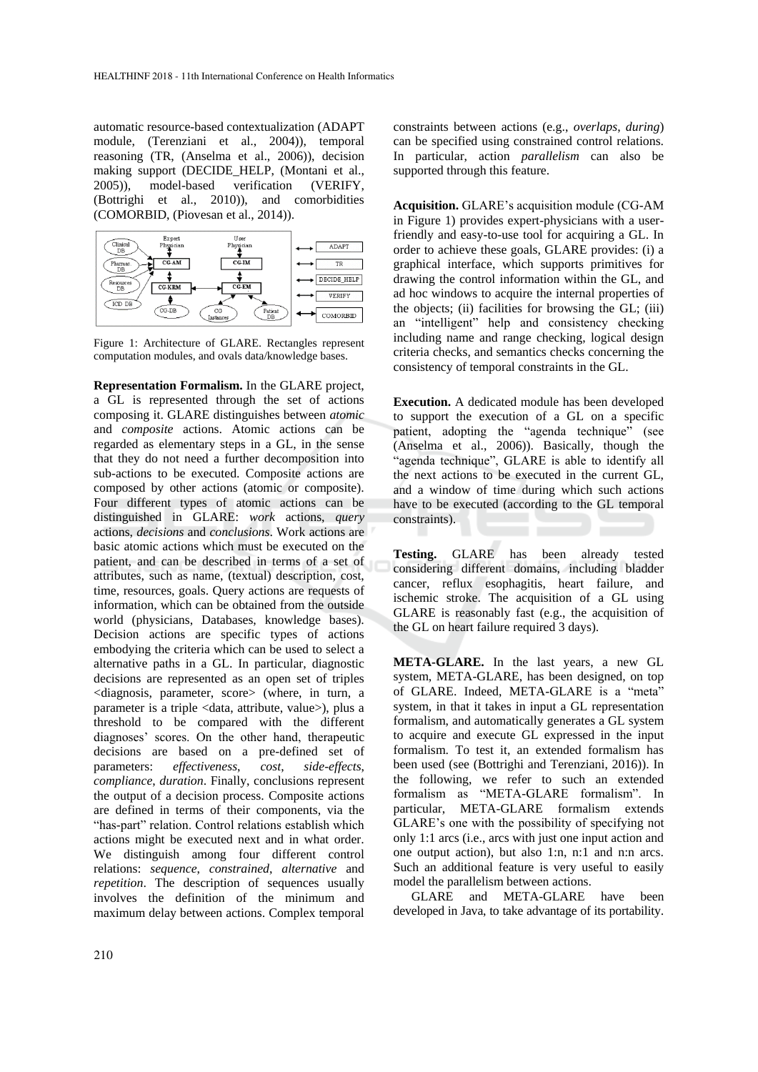automatic resource-based contextualization (ADAPT module, (Terenziani et al., 2004)), temporal reasoning (TR, (Anselma et al., 2006)), decision making support (DECIDE\_HELP, (Montani et al., 2005)), model-based verification (VERIFY, (Bottrighi et al., 2010)), and comorbidities (COMORBID, (Piovesan et al., 2014)).



Figure 1: Architecture of GLARE. Rectangles represent computation modules, and ovals data/knowledge bases.

**Representation Formalism.** In the GLARE project, a GL is represented through the set of actions composing it. GLARE distinguishes between *atomic* and *composite* actions. Atomic actions can be regarded as elementary steps in a GL, in the sense that they do not need a further decomposition into sub-actions to be executed. Composite actions are composed by other actions (atomic or composite). Four different types of atomic actions can be distinguished in GLARE: *work* actions, *query* actions, *decisions* and *conclusions*. Work actions are basic atomic actions which must be executed on the patient, and can be described in terms of a set of attributes, such as name, (textual) description, cost, time, resources, goals. Query actions are requests of information, which can be obtained from the outside world (physicians, Databases, knowledge bases). Decision actions are specific types of actions embodying the criteria which can be used to select a alternative paths in a GL. In particular, diagnostic decisions are represented as an open set of triples <diagnosis, parameter, score> (where, in turn, a parameter is a triple <data, attribute, value>), plus a threshold to be compared with the different diagnoses' scores. On the other hand, therapeutic decisions are based on a pre-defined set of parameters: *effectiveness*, *cost*, *side-effects*, *compliance*, *duration*. Finally, conclusions represent the output of a decision process. Composite actions are defined in terms of their components, via the "has-part" relation. Control relations establish which actions might be executed next and in what order. We distinguish among four different control relations: *sequence*, *constrained*, *alternative* and *repetition*. The description of sequences usually involves the definition of the minimum and maximum delay between actions. Complex temporal

constraints between actions (e.g., *overlaps*, *during*) can be specified using constrained control relations. In particular, action *parallelism* can also be supported through this feature.

**Acquisition.** GLARE's acquisition module (CG-AM in Figure 1) provides expert-physicians with a userfriendly and easy-to-use tool for acquiring a GL. In order to achieve these goals, GLARE provides: (i) a graphical interface, which supports primitives for drawing the control information within the GL, and ad hoc windows to acquire the internal properties of the objects; (ii) facilities for browsing the GL; (iii) an "intelligent" help and consistency checking including name and range checking, logical design criteria checks, and semantics checks concerning the consistency of temporal constraints in the GL.

**Execution.** A dedicated module has been developed to support the execution of a GL on a specific patient, adopting the "agenda technique" (see (Anselma et al., 2006)). Basically, though the "agenda technique", GLARE is able to identify all the next actions to be executed in the current GL, and a window of time during which such actions have to be executed (according to the GL temporal constraints).

**Testing.** GLARE has been already tested considering different domains, including bladder cancer, reflux esophagitis, heart failure, and ischemic stroke. The acquisition of a GL using GLARE is reasonably fast (e.g., the acquisition of the GL on heart failure required 3 days).

**META-GLARE.** In the last years, a new GL system, META-GLARE, has been designed, on top of GLARE. Indeed, META-GLARE is a "meta" system, in that it takes in input a GL representation formalism, and automatically generates a GL system to acquire and execute GL expressed in the input formalism. To test it, an extended formalism has been used (see (Bottrighi and Terenziani, 2016)). In the following, we refer to such an extended formalism as "META-GLARE formalism". In particular, META-GLARE formalism extends GLARE's one with the possibility of specifying not only 1:1 arcs (i.e., arcs with just one input action and one output action), but also 1:n, n:1 and n:n arcs. Such an additional feature is very useful to easily model the parallelism between actions.

GLARE and META-GLARE have been developed in Java, to take advantage of its portability.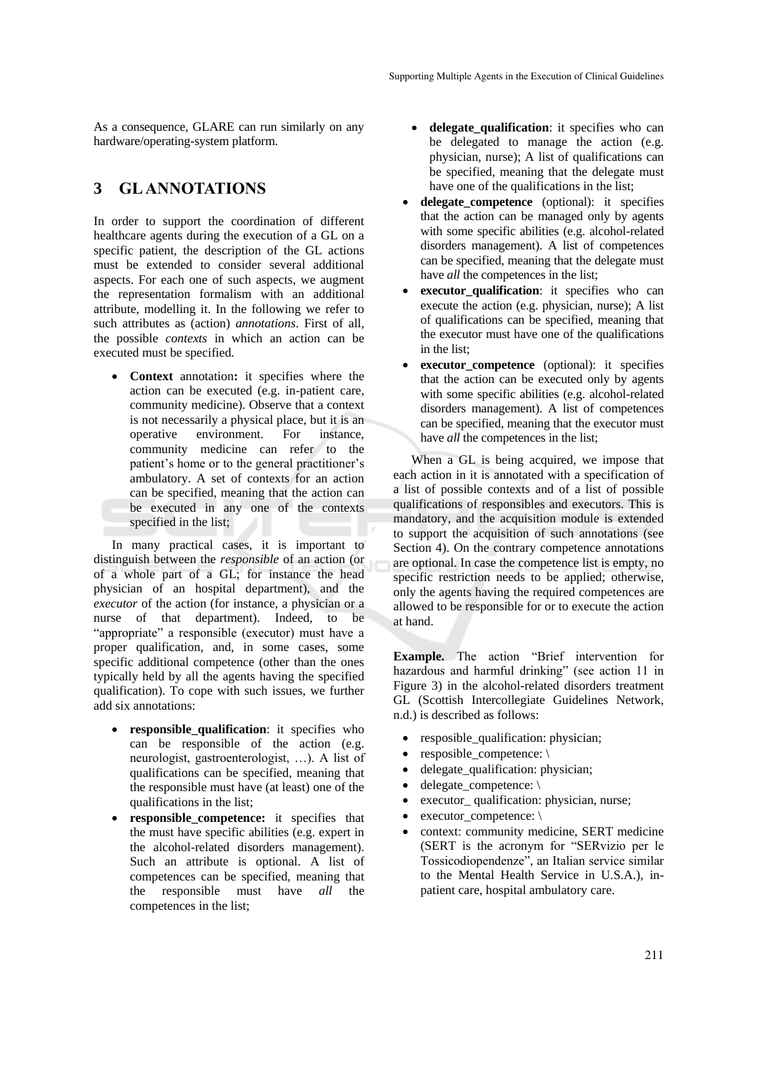As a consequence, GLARE can run similarly on any hardware/operating-system platform.

# **3 GL ANNOTATIONS**

In order to support the coordination of different healthcare agents during the execution of a GL on a specific patient, the description of the GL actions must be extended to consider several additional aspects. For each one of such aspects, we augment the representation formalism with an additional attribute, modelling it. In the following we refer to such attributes as (action) *annotations*. First of all, the possible *contexts* in which an action can be executed must be specified.

• **Context** annotation**:** it specifies where the action can be executed (e.g. in-patient care, community medicine). Observe that a context is not necessarily a physical place, but it is an operative environment. For instance, community medicine can refer to the patient's home or to the general practitioner's ambulatory. A set of contexts for an action can be specified, meaning that the action can be executed in any one of the contexts specified in the list;

In many practical cases, it is important to distinguish between the *responsible* of an action (or of a whole part of a GL; for instance the head physician of an hospital department), and the *executor* of the action (for instance, a physician or a nurse of that department). Indeed, to be "appropriate" a responsible (executor) must have a proper qualification, and, in some cases, some specific additional competence (other than the ones typically held by all the agents having the specified qualification). To cope with such issues, we further add six annotations:

- **responsible** qualification: it specifies who can be responsible of the action (e.g. neurologist, gastroenterologist, …). A list of qualifications can be specified, meaning that the responsible must have (at least) one of the qualifications in the list;
- **responsible competence:** it specifies that the must have specific abilities (e.g. expert in the alcohol-related disorders management). Such an attribute is optional. A list of competences can be specified, meaning that the responsible must have *all* the competences in the list;
- **delegate\_qualification**: it specifies who can be delegated to manage the action (e.g. physician, nurse); A list of qualifications can be specified, meaning that the delegate must have one of the qualifications in the list;
- **delegate\_competence** (optional): it specifies that the action can be managed only by agents with some specific abilities (e.g. alcohol-related disorders management). A list of competences can be specified, meaning that the delegate must have *all* the competences in the list:
- **executor** qualification: it specifies who can execute the action (e.g. physician, nurse); A list of qualifications can be specified, meaning that the executor must have one of the qualifications in the list;
- **executor** competence (optional): it specifies that the action can be executed only by agents with some specific abilities (e.g. alcohol-related disorders management). A list of competences can be specified, meaning that the executor must have *all* the competences in the list;

When a GL is being acquired, we impose that each action in it is annotated with a specification of a list of possible contexts and of a list of possible qualifications of responsibles and executors. This is mandatory, and the acquisition module is extended to support the acquisition of such annotations (see Section 4). On the contrary competence annotations are optional. In case the competence list is empty, no specific restriction needs to be applied; otherwise, only the agents having the required competences are allowed to be responsible for or to execute the action at hand.

**Example.** The action "Brief intervention for hazardous and harmful drinking" (see action 11 in Figure 3) in the alcohol-related disorders treatment GL (Scottish Intercollegiate Guidelines Network, n.d.) is described as follows:

- resposible\_qualification: physician;
- resposible\_competence: \
- delegate\_qualification: physician;
- delegate\_competence: \
	- executor\_qualification: physician, nurse;
- executor competence:  $\setminus$
- context: community medicine, SERT medicine (SERT is the acronym for "SERvizio per le Tossicodiopendenze", an Italian service similar to the Mental Health Service in U.S.A.), inpatient care, hospital ambulatory care.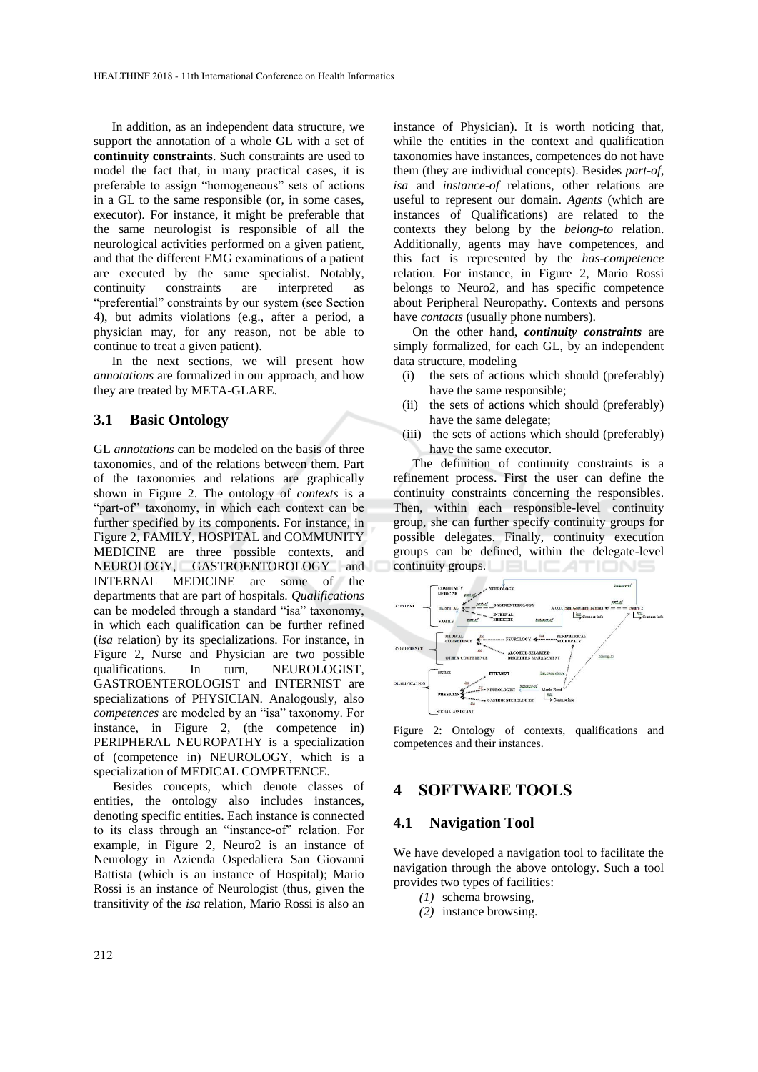In addition, as an independent data structure, we support the annotation of a whole GL with a set of **continuity constraints**. Such constraints are used to model the fact that, in many practical cases, it is preferable to assign "homogeneous" sets of actions in a GL to the same responsible (or, in some cases, executor). For instance, it might be preferable that the same neurologist is responsible of all the neurological activities performed on a given patient, and that the different EMG examinations of a patient are executed by the same specialist. Notably, continuity constraints are interpreted as "preferential" constraints by our system (see Section 4), but admits violations (e.g., after a period, a physician may, for any reason, not be able to continue to treat a given patient).

In the next sections, we will present how *annotations* are formalized in our approach, and how they are treated by META-GLARE.

#### **3.1 Basic Ontology**

GL *annotations* can be modeled on the basis of three taxonomies, and of the relations between them. Part of the taxonomies and relations are graphically shown in Figure 2. The ontology of *contexts* is a "part-of" taxonomy, in which each context can be further specified by its components. For instance, in Figure 2, FAMILY, HOSPITAL and COMMUNITY MEDICINE are three possible contexts, and NEUROLOGY, GASTROENTOROLOGY and INTERNAL MEDICINE are some of the departments that are part of hospitals. *Qualifications* can be modeled through a standard "isa" taxonomy, in which each qualification can be further refined (*isa* relation) by its specializations. For instance, in Figure 2, Nurse and Physician are two possible qualifications. In turn, NEUROLOGIST, GASTROENTEROLOGIST and INTERNIST are specializations of PHYSICIAN. Analogously, also *competences* are modeled by an "isa" taxonomy. For instance, in Figure 2, (the competence in) PERIPHERAL NEUROPATHY is a specialization of (competence in) NEUROLOGY, which is a specialization of MEDICAL COMPETENCE.

Besides concepts, which denote classes of entities, the ontology also includes instances, denoting specific entities. Each instance is connected to its class through an "instance-of" relation. For example, in Figure 2, Neuro2 is an instance of Neurology in Azienda Ospedaliera San Giovanni Battista (which is an instance of Hospital); Mario Rossi is an instance of Neurologist (thus, given the transitivity of the *isa* relation, Mario Rossi is also an

instance of Physician). It is worth noticing that, while the entities in the context and qualification taxonomies have instances, competences do not have them (they are individual concepts). Besides *part-of*, *isa* and *instance-of* relations, other relations are useful to represent our domain. *Agents* (which are instances of Qualifications) are related to the contexts they belong by the *belong-to* relation. Additionally, agents may have competences, and this fact is represented by the *has-competence* relation. For instance, in Figure 2, Mario Rossi belongs to Neuro2, and has specific competence about Peripheral Neuropathy. Contexts and persons have *contacts* (usually phone numbers).

On the other hand, *continuity constraints* are simply formalized, for each GL, by an independent data structure, modeling

- (i) the sets of actions which should (preferably) have the same responsible;
- (ii) the sets of actions which should (preferably) have the same delegate;
- (iii) the sets of actions which should (preferably) have the same executor.

The definition of continuity constraints is a refinement process. First the user can define the continuity constraints concerning the responsibles. Then, within each responsible-level continuity group, she can further specify continuity groups for possible delegates. Finally, continuity execution groups can be defined, within the delegate-level continuity groups.



Figure 2: Ontology of contexts, qualifications and competences and their instances.

# **4 SOFTWARE TOOLS**

### **4.1 Navigation Tool**

We have developed a navigation tool to facilitate the navigation through the above ontology. Such a tool provides two types of facilities:

- *(1)* schema browsing,
- *(2)* instance browsing.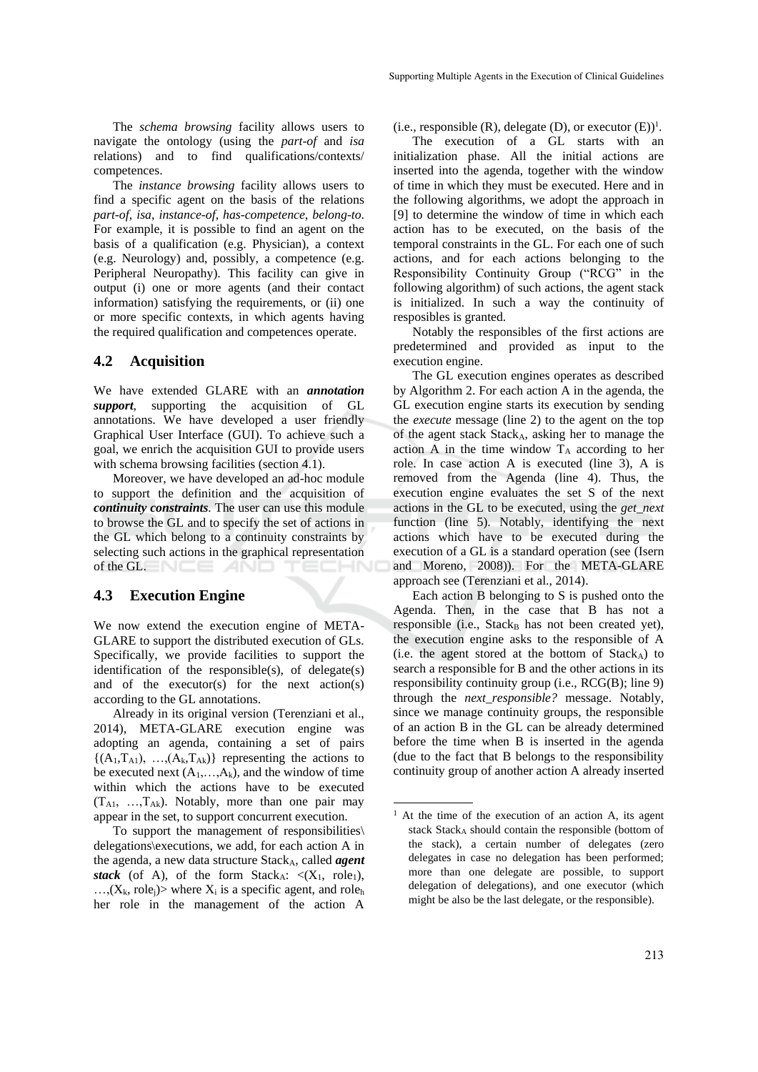The *schema browsing* facility allows users to navigate the ontology (using the *part-of* and *isa* relations) and to find qualifications/contexts/ competences.

The *instance browsing* facility allows users to find a specific agent on the basis of the relations *part-of*, *isa*, *instance-of*, *has-competence*, *belong-to*. For example, it is possible to find an agent on the basis of a qualification (e.g. Physician), a context (e.g. Neurology) and, possibly, a competence (e.g. Peripheral Neuropathy). This facility can give in output (i) one or more agents (and their contact information) satisfying the requirements, or (ii) one or more specific contexts, in which agents having the required qualification and competences operate.

### **4.2 Acquisition**

We have extended GLARE with an *annotation support*, supporting the acquisition of GL annotations. We have developed a user friendly Graphical User Interface (GUI). To achieve such a goal, we enrich the acquisition GUI to provide users with schema browsing facilities (section 4.1).

Moreover, we have developed an ad-hoc module to support the definition and the acquisition of *continuity constraints.* The user can use this module to browse the GL and to specify the set of actions in the GL which belong to a continuity constraints by selecting such actions in the graphical representation of the GL.  $\Box$ 

### **4.3 Execution Engine**

We now extend the execution engine of META-GLARE to support the distributed execution of GLs. Specifically, we provide facilities to support the identification of the responsible(s), of delegate(s) and of the executor(s) for the next action(s) according to the GL annotations.

Already in its original version (Terenziani et al., 2014), META-GLARE execution engine was adopting an agenda, containing a set of pairs  $\{(A_1, T_{A1}), ..., (A_k, T_{Ak})\}$  representing the actions to be executed next  $(A_1,...,A_k)$ , and the window of time within which the actions have to be executed  $(T_{A1}, \ldots, T_{Ak})$ . Notably, more than one pair may appear in the set, to support concurrent execution.

To support the management of responsibilities\ delegations\executions, we add, for each action A in the agenda, a new data structure Stack<sub>A</sub>, called *agent stack* (of A), of the form Stack<sub>A</sub>:  $\langle (X_1, \text{role}_1),$  $..., (X_k, \text{role}_i)$  where  $X_i$  is a specific agent, and role<sub>h</sub> her role in the management of the action A

 $(i.e., responsible (R), delegate (D), or executor (E))<sup>1</sup>.$ 

The execution of a GL starts with an initialization phase. All the initial actions are inserted into the agenda, together with the window of time in which they must be executed. Here and in the following algorithms, we adopt the approach in [9] to determine the window of time in which each action has to be executed, on the basis of the temporal constraints in the GL. For each one of such actions, and for each actions belonging to the Responsibility Continuity Group ("RCG" in the following algorithm) of such actions, the agent stack is initialized. In such a way the continuity of resposibles is granted.

Notably the responsibles of the first actions are predetermined and provided as input to the execution engine.

The GL execution engines operates as described by Algorithm 2. For each action A in the agenda, the GL execution engine starts its execution by sending the *execute* message (line 2) to the agent on the top of the agent stack StackA, asking her to manage the action A in the time window  $T_A$  according to her role. In case action A is executed (line 3), A is removed from the Agenda (line 4). Thus, the execution engine evaluates the set S of the next actions in the GL to be executed, using the *get\_next* function (line 5). Notably, identifying the next actions which have to be executed during the execution of a GL is a standard operation (see (Isern and Moreno, 2008)). For the META-GLARE approach see (Terenziani et al., 2014).

Each action B belonging to S is pushed onto the Agenda. Then, in the case that B has not a responsible (i.e.,  $Stack_B$  has not been created yet), the execution engine asks to the responsible of A  $(i.e.$  the agent stored at the bottom of  $Stack_A$ ) to search a responsible for B and the other actions in its responsibility continuity group (i.e., RCG(B); line 9) through the *next\_responsible?* message. Notably, since we manage continuity groups, the responsible of an action B in the GL can be already determined before the time when B is inserted in the agenda (due to the fact that B belongs to the responsibility continuity group of another action A already inserted

-

 $<sup>1</sup>$  At the time of the execution of an action A, its agent</sup> stack Stack<sub>A</sub> should contain the responsible (bottom of the stack), a certain number of delegates (zero delegates in case no delegation has been performed; more than one delegate are possible, to support delegation of delegations), and one executor (which might be also be the last delegate, or the responsible).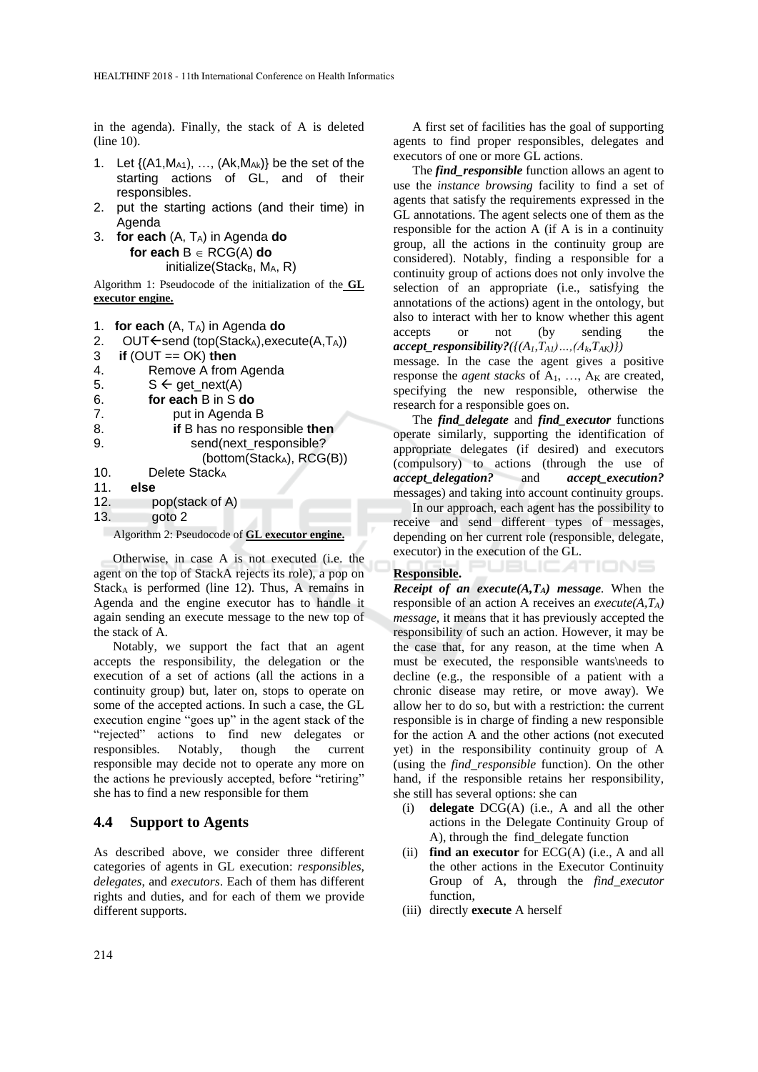in the agenda). Finally, the stack of A is deleted (line 10).

- 1. Let  $\{(A1, M<sub>A1</sub>), ..., (Ak, M<sub>Ak</sub>)\}$  be the set of the starting actions of GL, and of their responsibles.
- 2. put the starting actions (and their time) in Agenda
- 3. **for each** (A, TA) in Agenda **do for each**  $B \in RCG(A)$  **do**  $initialize(Stack_B, M_A, R)$

Algorithm 1: Pseudocode of the initialization of the **GL executor engine.**

```
1. for each (A, TA) in Agenda do
```

```
2. OUT\leftarrowsend (top(StackA), execute(A,TA))
```

```
3 if (OUT == OK) then
```

| 4.  | Remove A from Agenda                  |  |  |  |  |
|-----|---------------------------------------|--|--|--|--|
| 5.  | $S \leftarrow get\_next(A)$           |  |  |  |  |
| 6.  | for each B in S do                    |  |  |  |  |
| 7.  | put in Agenda B                       |  |  |  |  |
| 8.  | if B has no responsible then          |  |  |  |  |
| 9.  | send(next_responsible?                |  |  |  |  |
|     | (bottom(Stack <sub>A</sub> ), RCG(B)) |  |  |  |  |
| 10. | Delete Stack <sub>A</sub>             |  |  |  |  |
| 11. | else                                  |  |  |  |  |
| 12. | pop(stack of A)                       |  |  |  |  |
| 13. | goto 2                                |  |  |  |  |
|     |                                       |  |  |  |  |

Algorithm 2: Pseudocode of **GL executor engine.**

Otherwise, in case A is not executed (i.e. the agent on the top of StackA rejects its role), a pop on  $Stack<sub>A</sub>$  is performed (line 12). Thus, A remains in Agenda and the engine executor has to handle it again sending an execute message to the new top of the stack of A.

Notably, we support the fact that an agent accepts the responsibility, the delegation or the execution of a set of actions (all the actions in a continuity group) but, later on, stops to operate on some of the accepted actions. In such a case, the GL execution engine "goes up" in the agent stack of the "rejected" actions to find new delegates or responsibles. Notably, though the current responsible may decide not to operate any more on the actions he previously accepted, before "retiring" she has to find a new responsible for them

## **4.4 Support to Agents**

As described above, we consider three different categories of agents in GL execution: *responsibles*, *delegates*, and *executors*. Each of them has different rights and duties, and for each of them we provide different supports.

A first set of facilities has the goal of supporting agents to find proper responsibles, delegates and executors of one or more GL actions.

The *find\_responsible* function allows an agent to use the *instance browsing* facility to find a set of agents that satisfy the requirements expressed in the GL annotations. The agent selects one of them as the responsible for the action A (if A is in a continuity group, all the actions in the continuity group are considered). Notably, finding a responsible for a continuity group of actions does not only involve the selection of an appropriate (i.e., satisfying the annotations of the actions) agent in the ontology, but also to interact with her to know whether this agent accepts or not (by sending the  $accept\_responsibility?$ <sup>*({(A<sub>1</sub>,T<sub>A1</sub>)</sup>…,(A<sub>k</sub>,T<sub>AK</sub>)}*)</sup>

message. In the case the agent gives a positive response the *agent stacks* of  $A_1$ , ...,  $A_k$  are created, specifying the new responsible, otherwise the research for a responsible goes on.

The *find\_delegate* and *find\_executor* functions operate similarly, supporting the identification of appropriate delegates (if desired) and executors (compulsory) to actions (through the use of *accept\_delegation?* and *accept\_execution?* messages) and taking into account continuity groups.

In our approach, each agent has the possibility to receive and send different types of messages, depending on her current role (responsible, delegate, executor) in the execution of the GL.

**JBLICATIONS** 

## **Responsible.**

*Receipt of an execute* $(A, T_A)$  *message*. When the responsible of an action A receives an *execute(A,TA) message,* it means that it has previously accepted the responsibility of such an action. However, it may be the case that, for any reason, at the time when A must be executed, the responsible wants\needs to decline (e.g., the responsible of a patient with a chronic disease may retire, or move away). We allow her to do so, but with a restriction: the current responsible is in charge of finding a new responsible for the action A and the other actions (not executed yet) in the responsibility continuity group of A (using the *find\_responsible* function). On the other hand, if the responsible retains her responsibility, she still has several options: she can

- (i) **delegate** DCG(A) (i.e., A and all the other actions in the Delegate Continuity Group of A), through the find\_delegate function
- (ii) **find an executor** for ECG(A) (i.e., A and all the other actions in the Executor Continuity Group of A, through the *find\_executor* function,
- (iii) directly **execute** A herself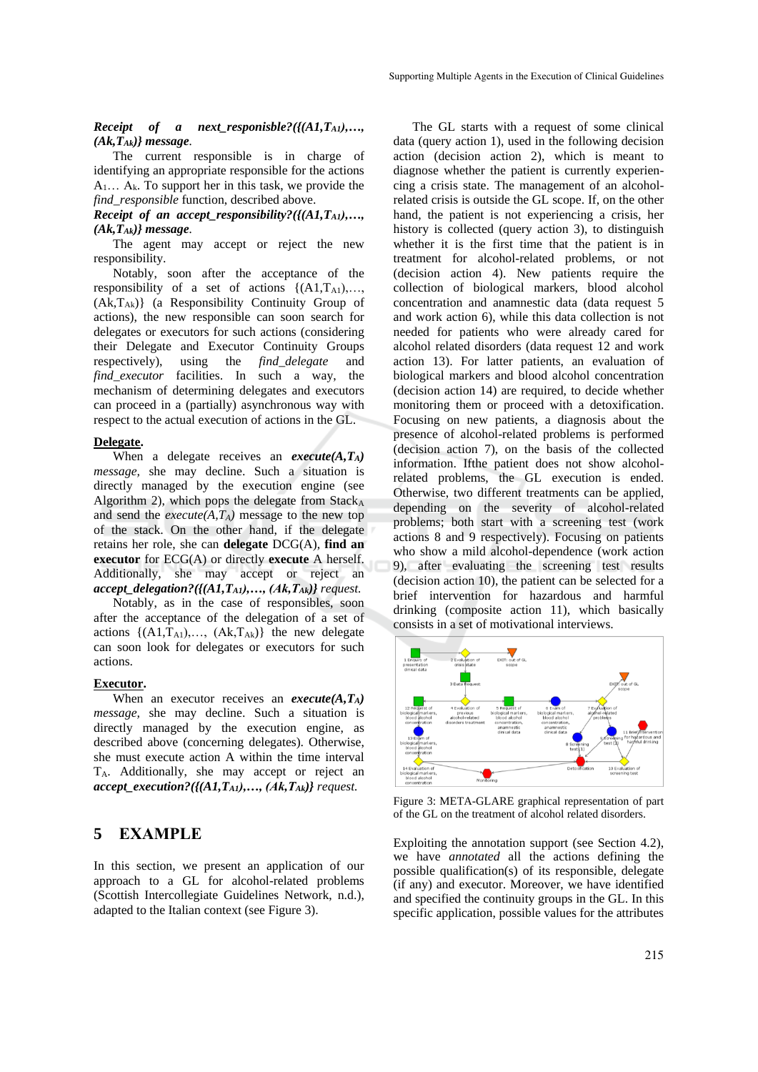#### *Receipt of a next\_responisble?({(A1,TA1),…, (Ak,TAk)} message.*

The current responsible is in charge of identifying an appropriate responsible for the actions  $A_1... A_k$ . To support her in this task, we provide the *find\_responsible* function, described above.

*Receipt of an accept responsibility?({(A1,T<sub>A1</sub>),..., (Ak,TAk)} message.*

The agent may accept or reject the new responsibility.

Notably, soon after the acceptance of the responsibility of a set of actions  $\{(A1, T_{A1}), \ldots,$  $(Ak, T_{Ak})$  (a Responsibility Continuity Group of actions), the new responsible can soon search for delegates or executors for such actions (considering their Delegate and Executor Continuity Groups respectively), using the *find\_delegate* and *find executor* facilities. In such a way, the mechanism of determining delegates and executors can proceed in a (partially) asynchronous way with respect to the actual execution of actions in the GL.

#### **Delegate.**

When a delegate receives an *execute(A,TA) message,* she may decline. Such a situation is directly managed by the execution engine (see Algorithm 2), which pops the delegate from  $Stack<sub>A</sub>$ and send the *execute* $(A, T_A)$  message to the new top of the stack. On the other hand, if the delegate retains her role, she can **delegate** DCG(A), **find an executor** for ECG(A) or directly **execute** A herself. Additionally, she may accept or reject an *accept\_delegation?({(A1,TA1),…, (Ak,TAk)} request.*

Notably, as in the case of responsibles, soon after the acceptance of the delegation of a set of actions  $\{(A1, T_{A1}), \ldots, (Ak, T_{Ak})\}$  the new delegate can soon look for delegates or executors for such actions.

#### **Executor.**

When an executor receives an *execute(A,TA) message,* she may decline. Such a situation is directly managed by the execution engine, as described above (concerning delegates). Otherwise, she must execute action A within the time interval TA. Additionally, she may accept or reject an *accept\_execution?({(A1,TA1),…, (Ak,TAk)} request.*

## **5 EXAMPLE**

In this section, we present an application of our approach to a GL for alcohol-related problems (Scottish Intercollegiate Guidelines Network, n.d.), adapted to the Italian context (see Figure 3).

The GL starts with a request of some clinical data (query action 1), used in the following decision action (decision action 2), which is meant to diagnose whether the patient is currently experiencing a crisis state. The management of an alcoholrelated crisis is outside the GL scope. If, on the other hand, the patient is not experiencing a crisis, her history is collected (query action 3), to distinguish whether it is the first time that the patient is in treatment for alcohol-related problems, or not (decision action 4). New patients require the collection of biological markers, blood alcohol concentration and anamnestic data (data request 5 and work action 6), while this data collection is not needed for patients who were already cared for alcohol related disorders (data request 12 and work action 13). For latter patients, an evaluation of biological markers and blood alcohol concentration (decision action 14) are required, to decide whether monitoring them or proceed with a detoxification. Focusing on new patients, a diagnosis about the presence of alcohol-related problems is performed (decision action 7), on the basis of the collected information. Ifthe patient does not show alcoholrelated problems, the GL execution is ended. Otherwise, two different treatments can be applied, depending on the severity of alcohol-related problems; both start with a screening test (work actions 8 and 9 respectively). Focusing on patients who show a mild alcohol-dependence (work action 9), after evaluating the screening test results (decision action 10), the patient can be selected for a brief intervention for hazardous and harmful drinking (composite action 11), which basically consists in a set of motivational interviews.



Figure 3: META-GLARE graphical representation of part of the GL on the treatment of alcohol related disorders.

Exploiting the annotation support (see Section 4.2), we have *annotated* all the actions defining the possible qualification(s) of its responsible, delegate (if any) and executor. Moreover, we have identified and specified the continuity groups in the GL. In this specific application, possible values for the attributes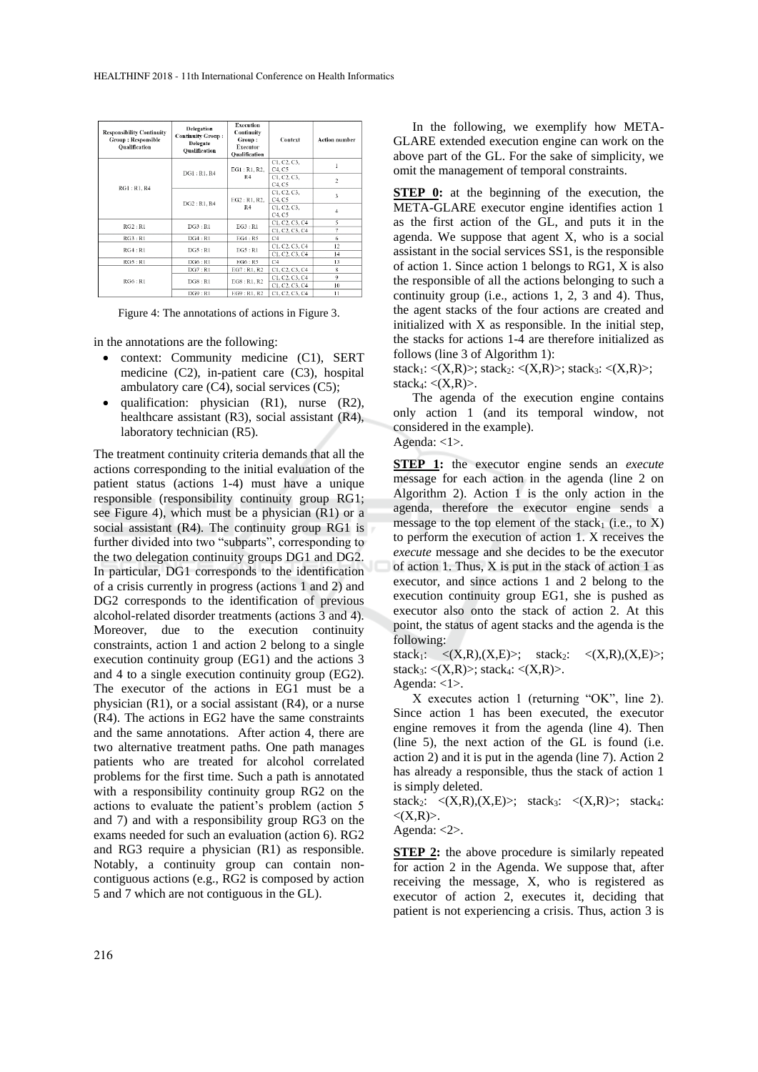| <b>Responsibility Continuity</b><br><b>Group: Responsible</b><br>Oualification | <b>Delegation</b><br><b>Continuity Group:</b><br>Delegate<br>Oualification | <b>Execution</b><br>Continuity<br>Group:<br><b>Executor</b><br><b>Qualification</b> | Context                          | <b>Action number</b> |
|--------------------------------------------------------------------------------|----------------------------------------------------------------------------|-------------------------------------------------------------------------------------|----------------------------------|----------------------|
|                                                                                | DG1: R1. R4                                                                | EG1: R1, R2,<br>R <sub>4</sub>                                                      | C1, C2, C3,<br>C4, C5            |                      |
| RG1: R1. R4                                                                    |                                                                            |                                                                                     | C1, C2, C3,<br>C4. C5            | $\overline{2}$       |
|                                                                                | DG2: R1, R4                                                                | EG2: R1, R2,<br>R4                                                                  | C1, C2, C3,<br>C4. C5            | 3                    |
|                                                                                |                                                                            |                                                                                     | C1, C2, C3,<br>C4. C5            | $\overline{4}$       |
| RG2:RI                                                                         | DG3:R1                                                                     | EG3:R1                                                                              | C1, C2, C3, C4<br>C1, C2, C3, C4 | 5<br>7               |
| RG3:R1                                                                         | DG4:R1                                                                     | EG4:RS                                                                              | C4                               | 6                    |
| RG4:R1                                                                         | DG5:R1                                                                     | EG5:R1                                                                              | C1, C2, C3, C4                   | 12                   |
|                                                                                |                                                                            |                                                                                     | C1, C2, C3, C4                   | 14                   |
| RG5:R1                                                                         | DG6:RI                                                                     | EG6: R5                                                                             | C4                               | 13                   |
|                                                                                | DG7:R1                                                                     | EG7: R1. R2                                                                         | C1, C2, C3, C4                   | $\bf{8}$             |
| RG6: R1                                                                        | DG8:R1                                                                     | EG8: R1. R2                                                                         | C1. C2. C3. C4<br>C1, C2, C3, C4 | 9<br>10              |
|                                                                                | DG9:RI                                                                     | EG9: R1, R2                                                                         | C1, C2, C3, C4                   | п                    |

Figure 4: The annotations of actions in Figure 3.

in the annotations are the following:

- context: Community medicine (C1), SERT medicine (C2), in-patient care (C3), hospital ambulatory care  $(C4)$ , social services  $(C5)$ ;
- qualification: physician (R1), nurse (R2), healthcare assistant (R3), social assistant (R4), laboratory technician (R5).

The treatment continuity criteria demands that all the actions corresponding to the initial evaluation of the patient status (actions 1-4) must have a unique responsible (responsibility continuity group RG1; see Figure 4), which must be a physician (R1) or a social assistant (R4). The continuity group RG1 is further divided into two "subparts", corresponding to the two delegation continuity groups DG1 and DG2. In particular, DG1 corresponds to the identification of a crisis currently in progress (actions 1 and 2) and DG2 corresponds to the identification of previous alcohol-related disorder treatments (actions 3 and 4). Moreover, due to the execution continuity constraints, action 1 and action 2 belong to a single execution continuity group (EG1) and the actions 3 and 4 to a single execution continuity group (EG2). The executor of the actions in EG1 must be a physician (R1), or a social assistant (R4), or a nurse (R4). The actions in EG2 have the same constraints and the same annotations. After action 4, there are two alternative treatment paths. One path manages patients who are treated for alcohol correlated problems for the first time. Such a path is annotated with a responsibility continuity group RG2 on the actions to evaluate the patient's problem (action 5 and 7) and with a responsibility group RG3 on the exams needed for such an evaluation (action 6). RG2 and RG3 require a physician (R1) as responsible. Notably, a continuity group can contain noncontiguous actions (e.g., RG2 is composed by action 5 and 7 which are not contiguous in the GL).

In the following, we exemplify how META-GLARE extended execution engine can work on the above part of the GL. For the sake of simplicity, we omit the management of temporal constraints.

**STEP 0:** at the beginning of the execution, the META-GLARE executor engine identifies action 1 as the first action of the GL, and puts it in the agenda. We suppose that agent X, who is a social assistant in the social services SS1, is the responsible of action 1. Since action 1 belongs to RG1, X is also the responsible of all the actions belonging to such a continuity group (i.e., actions 1, 2, 3 and 4). Thus, the agent stacks of the four actions are created and initialized with  $X$  as responsible. In the initial step, the stacks for actions 1-4 are therefore initialized as follows (line 3 of Algorithm 1):

stack<sub>1</sub>:  $\langle (X,R) \rangle$ ; stack<sub>2</sub>:  $\langle (X,R) \rangle$ ; stack<sub>3</sub>:  $\langle (X,R) \rangle$ ; stack $_4$ :  $\langle (X,R) \rangle$ .

The agenda of the execution engine contains only action 1 (and its temporal window, not considered in the example).



**STEP 1:** the executor engine sends an *execute* message for each action in the agenda (line 2 on Algorithm 2). Action 1 is the only action in the agenda, therefore the executor engine sends a message to the top element of the stack<sub>1</sub> (i.e., to  $\overline{X}$ ) to perform the execution of action 1. X receives the *execute* message and she decides to be the executor of action 1. Thus, X is put in the stack of action 1 as executor, and since actions 1 and 2 belong to the execution continuity group EG1, she is pushed as executor also onto the stack of action 2. At this point, the status of agent stacks and the agenda is the following:

stack<sub>1</sub>:  $\langle (X,R),(X,E)\rangle$ ; stack<sub>2</sub>:  $\langle (X,R),(X,E)\rangle$ ; stack<sub>3</sub>:  $\langle (X,R) \rangle$ ; stack<sub>4</sub>:  $\langle (X,R) \rangle$ . Agenda: <1>.

X executes action 1 (returning "OK", line 2). Since action 1 has been executed, the executor engine removes it from the agenda (line 4). Then (line 5), the next action of the GL is found (i.e. action 2) and it is put in the agenda (line 7). Action 2 has already a responsible, thus the stack of action 1 is simply deleted.

stack<sub>2</sub>:  $\langle (X,R),(X,E)\rangle$ ; stack<sub>3</sub>:  $\langle (X,R)\rangle$ ; stack<sub>4</sub>:  $\langle (X,R)\rangle$ .

Agenda: <2>.

**STEP 2:** the above procedure is similarly repeated for action 2 in the Agenda. We suppose that, after receiving the message, X, who is registered as executor of action 2, executes it, deciding that patient is not experiencing a crisis. Thus, action 3 is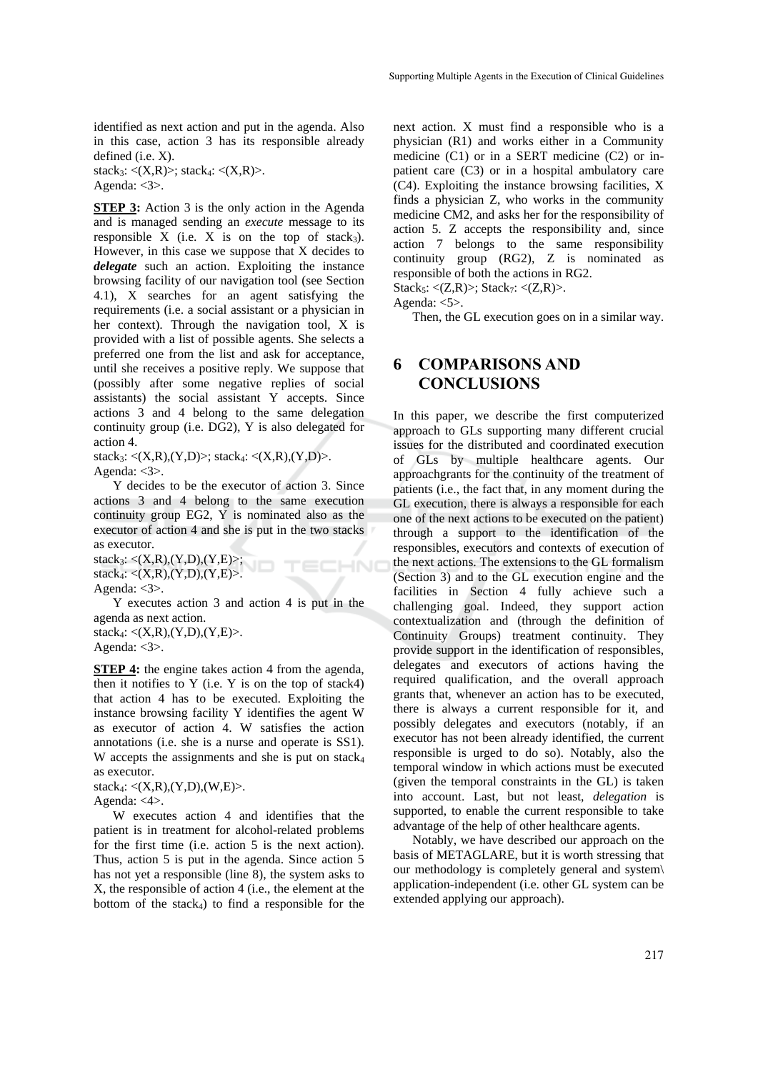identified as next action and put in the agenda. Also in this case, action 3 has its responsible already defined (i.e. X).

stack<sub>3</sub>:  $\langle (X,R) \rangle$ ; stack<sub>4</sub>:  $\langle (X,R) \rangle$ . Agenda: <3>.

**STEP 3:** Action 3 is the only action in the Agenda and is managed sending an *execute* message to its responsible  $X$  (i.e.  $X$  is on the top of stack<sub>3</sub>). However, in this case we suppose that X decides to *delegate* such an action. Exploiting the instance browsing facility of our navigation tool (see Section 4.1), X searches for an agent satisfying the requirements (i.e. a social assistant or a physician in her context). Through the navigation tool, X is provided with a list of possible agents. She selects a preferred one from the list and ask for acceptance, until she receives a positive reply. We suppose that (possibly after some negative replies of social assistants) the social assistant Y accepts. Since actions 3 and 4 belong to the same delegation continuity group (i.e. DG2), Y is also delegated for action 4.

stack<sub>3</sub>:  $\langle (X,R),(Y,D) \rangle$ ; stack<sub>4</sub>:  $\langle (X,R),(Y,D) \rangle$ . Agenda: <3>.

Y decides to be the executor of action 3. Since actions 3 and 4 belong to the same execution continuity group EG2, Y is nominated also as the executor of action 4 and she is put in the two stacks as executor.

TECHNO

 $stack_3: <(X,R),(Y,D),(Y,E)$ ; stack $_4$ : <(X,R),(Y,D),(Y,E)>. Agenda:  $<3>$ .

Y executes action 3 and action 4 is put in the agenda as next action. stack4: <(X,R),(Y,D),(Y,E)>.

Agenda: <3>.

**STEP 4:** the engine takes action 4 from the agenda, then it notifies to  $Y$  (i.e.  $Y$  is on the top of stack4) that action 4 has to be executed. Exploiting the instance browsing facility Y identifies the agent W as executor of action 4. W satisfies the action annotations (i.e. she is a nurse and operate is SS1). W accepts the assignments and she is put on stack<sub>4</sub> as executor.

stack $_4$ : <(X,R),(Y,D),(W,E)>. Agenda: <4>.

W executes action 4 and identifies that the patient is in treatment for alcohol-related problems for the first time (i.e. action 5 is the next action). Thus, action 5 is put in the agenda. Since action 5 has not yet a responsible (line  $\overline{8}$ ), the system asks to X, the responsible of action 4 (i.e., the element at the bottom of the stack $_4$ ) to find a responsible for the

next action. X must find a responsible who is a physician (R1) and works either in a Community medicine (C1) or in a SERT medicine (C2) or inpatient care (C3) or in a hospital ambulatory care (C4). Exploiting the instance browsing facilities, X finds a physician Z, who works in the community medicine CM2, and asks her for the responsibility of action 5. Z accepts the responsibility and, since action 7 belongs to the same responsibility continuity group (RG2), Z is nominated as responsible of both the actions in RG2. Stack<sub>5</sub>:  $\langle (Z,R) \rangle$ ; Stack<sub>7</sub>:  $\langle (Z,R) \rangle$ .

Agenda: <5>.

Then, the GL execution goes on in a similar way.

# **6 COMPARISONS AND CONCLUSIONS**

In this paper, we describe the first computerized approach to GLs supporting many different crucial issues for the distributed and coordinated execution of GLs by multiple healthcare agents. Our approachgrants for the continuity of the treatment of patients (i.e., the fact that, in any moment during the GL execution, there is always a responsible for each one of the next actions to be executed on the patient) through a support to the identification of the responsibles, executors and contexts of execution of the next actions. The extensions to the GL formalism (Section 3) and to the GL execution engine and the facilities in Section 4 fully achieve such a challenging goal. Indeed, they support action contextualization and (through the definition of Continuity Groups) treatment continuity. They provide support in the identification of responsibles, delegates and executors of actions having the required qualification, and the overall approach grants that, whenever an action has to be executed, there is always a current responsible for it, and possibly delegates and executors (notably, if an executor has not been already identified, the current responsible is urged to do so). Notably, also the temporal window in which actions must be executed (given the temporal constraints in the GL) is taken into account. Last, but not least, *delegation* is supported, to enable the current responsible to take advantage of the help of other healthcare agents.

Notably, we have described our approach on the basis of METAGLARE, but it is worth stressing that our methodology is completely general and system\ application-independent (i.e. other GL system can be extended applying our approach).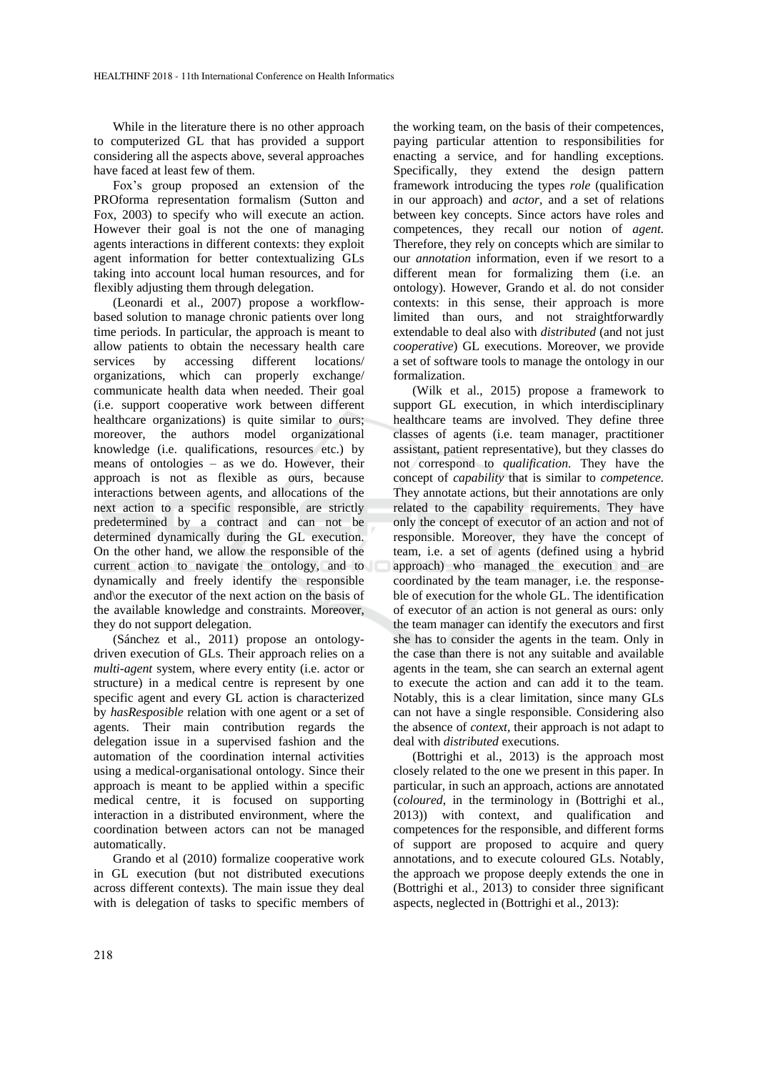While in the literature there is no other approach to computerized GL that has provided a support considering all the aspects above, several approaches have faced at least few of them.

Fox's group proposed an extension of the PROforma representation formalism (Sutton and Fox, 2003) to specify who will execute an action. However their goal is not the one of managing agents interactions in different contexts: they exploit agent information for better contextualizing GLs taking into account local human resources, and for flexibly adjusting them through delegation.

(Leonardi et al., 2007) propose a workflowbased solution to manage chronic patients over long time periods. In particular, the approach is meant to allow patients to obtain the necessary health care services by accessing different locations/ organizations, which can properly exchange/ communicate health data when needed. Their goal (i.e. support cooperative work between different healthcare organizations) is quite similar to ours; moreover, the authors model organizational knowledge (i.e. qualifications, resources etc.) by means of ontologies – as we do. However, their approach is not as flexible as ours, because interactions between agents, and allocations of the next action to a specific responsible, are strictly predetermined by a contract and can not be determined dynamically during the GL execution. On the other hand, we allow the responsible of the current action to navigate the ontology, and to dynamically and freely identify the responsible and\or the executor of the next action on the basis of the available knowledge and constraints. Moreover, they do not support delegation.

(Sánchez et al., 2011) propose an ontologydriven execution of GLs. Their approach relies on a *multi-agent* system, where every entity (i.e. actor or structure) in a medical centre is represent by one specific agent and every GL action is characterized by *hasResposible* relation with one agent or a set of agents. Their main contribution regards the delegation issue in a supervised fashion and the automation of the coordination internal activities using a medical-organisational ontology. Since their approach is meant to be applied within a specific medical centre, it is focused on supporting interaction in a distributed environment, where the coordination between actors can not be managed automatically.

Grando et al (2010) formalize cooperative work in GL execution (but not distributed executions across different contexts). The main issue they deal with is delegation of tasks to specific members of

the working team, on the basis of their competences, paying particular attention to responsibilities for enacting a service, and for handling exceptions. Specifically, they extend the design pattern framework introducing the types *role* (qualification in our approach) and *actor,* and a set of relations between key concepts. Since actors have roles and competences, they recall our notion of *agent.*  Therefore, they rely on concepts which are similar to our *annotation* information, even if we resort to a different mean for formalizing them (i.e. an ontology). However, Grando et al. do not consider contexts: in this sense, their approach is more limited than ours, and not straightforwardly extendable to deal also with *distributed* (and not just *cooperative*) GL executions. Moreover, we provide a set of software tools to manage the ontology in our formalization.

(Wilk et al., 2015) propose a framework to support GL execution, in which interdisciplinary healthcare teams are involved. They define three classes of agents (i.e. team manager, practitioner assistant, patient representative), but they classes do not correspond to *qualification*. They have the concept of *capability* that is similar to *competence.* They annotate actions, but their annotations are only related to the capability requirements. They have only the concept of executor of an action and not of responsible. Moreover, they have the concept of team, i.e. a set of agents (defined using a hybrid approach) who managed the execution and are coordinated by the team manager, i.e. the responseble of execution for the whole GL. The identification of executor of an action is not general as ours: only the team manager can identify the executors and first she has to consider the agents in the team. Only in the case than there is not any suitable and available agents in the team, she can search an external agent to execute the action and can add it to the team. Notably, this is a clear limitation, since many GLs can not have a single responsible. Considering also the absence of *context*, their approach is not adapt to deal with *distributed* executions.

(Bottrighi et al., 2013) is the approach most closely related to the one we present in this paper. In particular, in such an approach, actions are annotated (*coloured*, in the terminology in (Bottrighi et al., 2013)) with context, and qualification and competences for the responsible, and different forms of support are proposed to acquire and query annotations, and to execute coloured GLs. Notably, the approach we propose deeply extends the one in (Bottrighi et al., 2013) to consider three significant aspects, neglected in (Bottrighi et al., 2013):